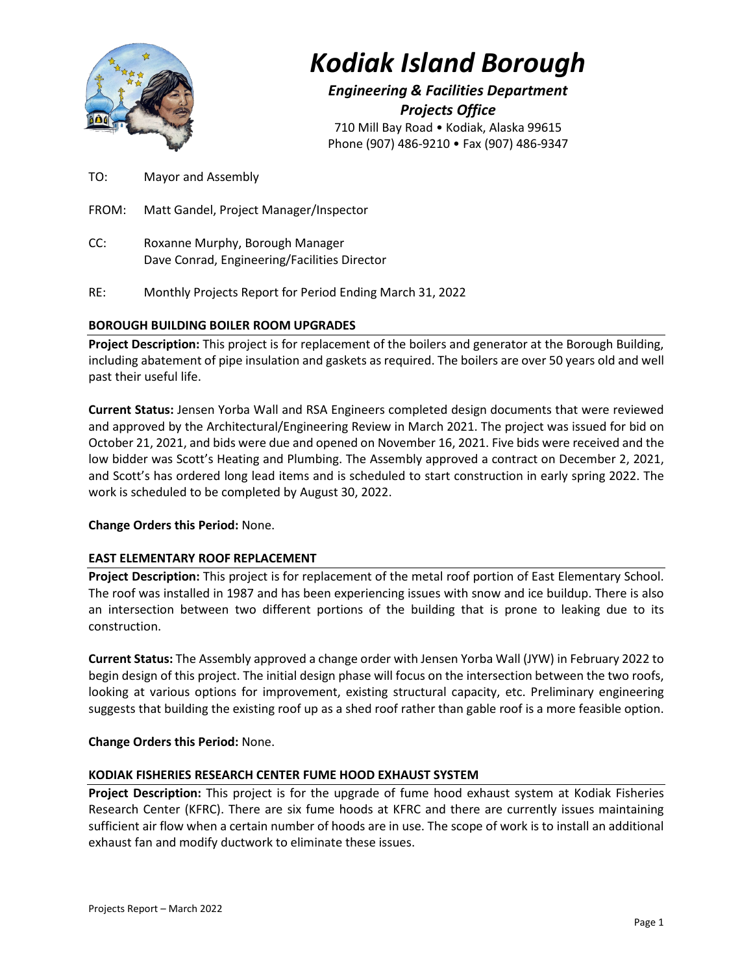

# *Kodiak Island Borough*

*Engineering & Facilities Department Projects Office* 710 Mill Bay Road • Kodiak, Alaska 99615 Phone (907) 486-9210 • Fax (907) 486-9347

TO: Mayor and Assembly

FROM: Matt Gandel, Project Manager/Inspector

- CC: Roxanne Murphy, Borough Manager Dave Conrad, Engineering/Facilities Director
- RE: Monthly Projects Report for Period Ending March 31, 2022

# **BOROUGH BUILDING BOILER ROOM UPGRADES**

**Project Description:** This project is for replacement of the boilers and generator at the Borough Building, including abatement of pipe insulation and gaskets as required. The boilers are over 50 years old and well past their useful life.

**Current Status:** Jensen Yorba Wall and RSA Engineers completed design documents that were reviewed and approved by the Architectural/Engineering Review in March 2021. The project was issued for bid on October 21, 2021, and bids were due and opened on November 16, 2021. Five bids were received and the low bidder was Scott's Heating and Plumbing. The Assembly approved a contract on December 2, 2021, and Scott's has ordered long lead items and is scheduled to start construction in early spring 2022. The work is scheduled to be completed by August 30, 2022.

**Change Orders this Period:** None.

# **EAST ELEMENTARY ROOF REPLACEMENT**

**Project Description:** This project is for replacement of the metal roof portion of East Elementary School. The roof was installed in 1987 and has been experiencing issues with snow and ice buildup. There is also an intersection between two different portions of the building that is prone to leaking due to its construction.

**Current Status:** The Assembly approved a change order with Jensen Yorba Wall (JYW) in February 2022 to begin design of this project. The initial design phase will focus on the intersection between the two roofs, looking at various options for improvement, existing structural capacity, etc. Preliminary engineering suggests that building the existing roof up as a shed roof rather than gable roof is a more feasible option.

**Change Orders this Period:** None.

# **KODIAK FISHERIES RESEARCH CENTER FUME HOOD EXHAUST SYSTEM**

**Project Description:** This project is for the upgrade of fume hood exhaust system at Kodiak Fisheries Research Center (KFRC). There are six fume hoods at KFRC and there are currently issues maintaining sufficient air flow when a certain number of hoods are in use. The scope of work is to install an additional exhaust fan and modify ductwork to eliminate these issues.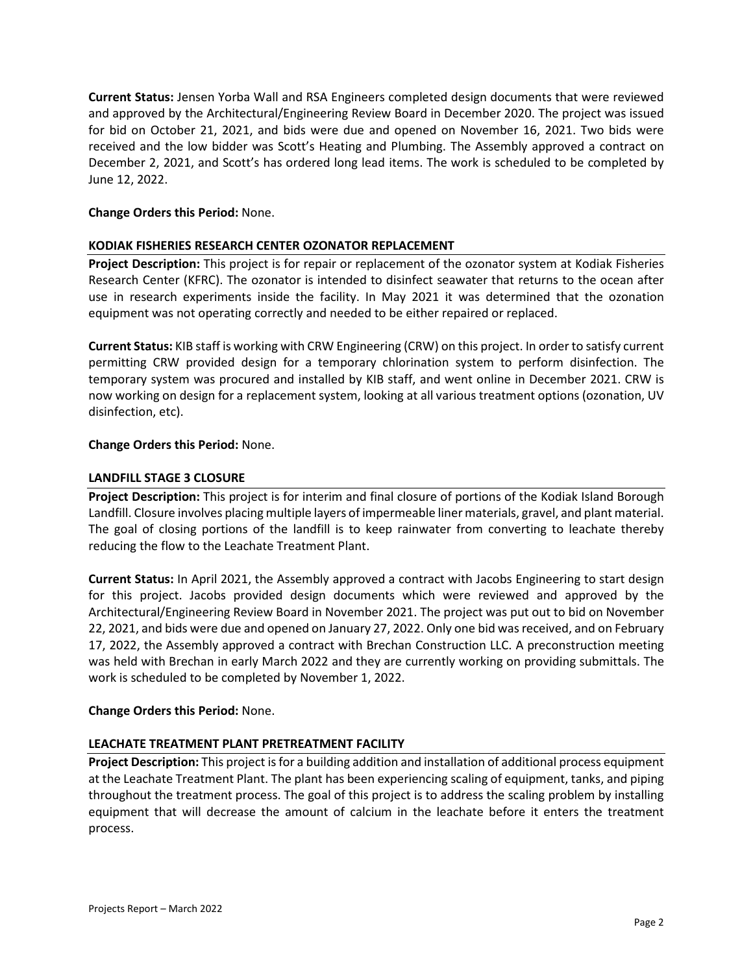**Current Status:** Jensen Yorba Wall and RSA Engineers completed design documents that were reviewed and approved by the Architectural/Engineering Review Board in December 2020. The project was issued for bid on October 21, 2021, and bids were due and opened on November 16, 2021. Two bids were received and the low bidder was Scott's Heating and Plumbing. The Assembly approved a contract on December 2, 2021, and Scott's has ordered long lead items. The work is scheduled to be completed by June 12, 2022.

#### **Change Orders this Period:** None.

#### **KODIAK FISHERIES RESEARCH CENTER OZONATOR REPLACEMENT**

**Project Description:** This project is for repair or replacement of the ozonator system at Kodiak Fisheries Research Center (KFRC). The ozonator is intended to disinfect seawater that returns to the ocean after use in research experiments inside the facility. In May 2021 it was determined that the ozonation equipment was not operating correctly and needed to be either repaired or replaced.

**Current Status:** KIB staff is working with CRW Engineering (CRW) on this project. In order to satisfy current permitting CRW provided design for a temporary chlorination system to perform disinfection. The temporary system was procured and installed by KIB staff, and went online in December 2021. CRW is now working on design for a replacement system, looking at all various treatment options (ozonation, UV disinfection, etc).

#### **Change Orders this Period:** None.

#### **LANDFILL STAGE 3 CLOSURE**

**Project Description:** This project is for interim and final closure of portions of the Kodiak Island Borough Landfill. Closure involves placing multiple layers of impermeable liner materials, gravel, and plant material. The goal of closing portions of the landfill is to keep rainwater from converting to leachate thereby reducing the flow to the Leachate Treatment Plant.

**Current Status:** In April 2021, the Assembly approved a contract with Jacobs Engineering to start design for this project. Jacobs provided design documents which were reviewed and approved by the Architectural/Engineering Review Board in November 2021. The project was put out to bid on November 22, 2021, and bids were due and opened on January 27, 2022. Only one bid was received, and on February 17, 2022, the Assembly approved a contract with Brechan Construction LLC. A preconstruction meeting was held with Brechan in early March 2022 and they are currently working on providing submittals. The work is scheduled to be completed by November 1, 2022.

# **Change Orders this Period:** None.

# **LEACHATE TREATMENT PLANT PRETREATMENT FACILITY**

**Project Description:** This project is for a building addition and installation of additional process equipment at the Leachate Treatment Plant. The plant has been experiencing scaling of equipment, tanks, and piping throughout the treatment process. The goal of this project is to address the scaling problem by installing equipment that will decrease the amount of calcium in the leachate before it enters the treatment process.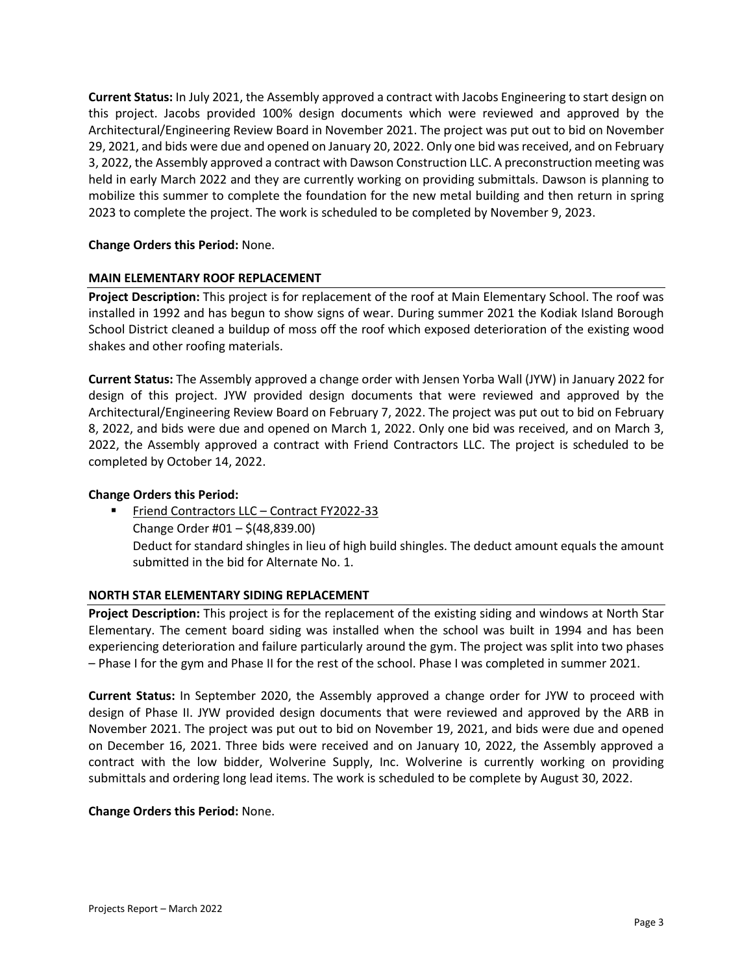**Current Status:** In July 2021, the Assembly approved a contract with Jacobs Engineering to start design on this project. Jacobs provided 100% design documents which were reviewed and approved by the Architectural/Engineering Review Board in November 2021. The project was put out to bid on November 29, 2021, and bids were due and opened on January 20, 2022. Only one bid was received, and on February 3, 2022, the Assembly approved a contract with Dawson Construction LLC. A preconstruction meeting was held in early March 2022 and they are currently working on providing submittals. Dawson is planning to mobilize this summer to complete the foundation for the new metal building and then return in spring 2023 to complete the project. The work is scheduled to be completed by November 9, 2023.

# **Change Orders this Period:** None.

#### **MAIN ELEMENTARY ROOF REPLACEMENT**

**Project Description:** This project is for replacement of the roof at Main Elementary School. The roof was installed in 1992 and has begun to show signs of wear. During summer 2021 the Kodiak Island Borough School District cleaned a buildup of moss off the roof which exposed deterioration of the existing wood shakes and other roofing materials.

**Current Status:** The Assembly approved a change order with Jensen Yorba Wall (JYW) in January 2022 for design of this project. JYW provided design documents that were reviewed and approved by the Architectural/Engineering Review Board on February 7, 2022. The project was put out to bid on February 8, 2022, and bids were due and opened on March 1, 2022. Only one bid was received, and on March 3, 2022, the Assembly approved a contract with Friend Contractors LLC. The project is scheduled to be completed by October 14, 2022.

#### **Change Orders this Period:**

 Friend Contractors LLC – Contract FY2022-33 Change Order #01 – \$(48,839.00) Deduct for standard shingles in lieu of high build shingles. The deduct amount equals the amount submitted in the bid for Alternate No. 1.

#### **NORTH STAR ELEMENTARY SIDING REPLACEMENT**

**Project Description:** This project is for the replacement of the existing siding and windows at North Star Elementary. The cement board siding was installed when the school was built in 1994 and has been experiencing deterioration and failure particularly around the gym. The project was split into two phases – Phase I for the gym and Phase II for the rest of the school. Phase I was completed in summer 2021.

**Current Status:** In September 2020, the Assembly approved a change order for JYW to proceed with design of Phase II. JYW provided design documents that were reviewed and approved by the ARB in November 2021. The project was put out to bid on November 19, 2021, and bids were due and opened on December 16, 2021. Three bids were received and on January 10, 2022, the Assembly approved a contract with the low bidder, Wolverine Supply, Inc. Wolverine is currently working on providing submittals and ordering long lead items. The work is scheduled to be complete by August 30, 2022.

#### **Change Orders this Period:** None.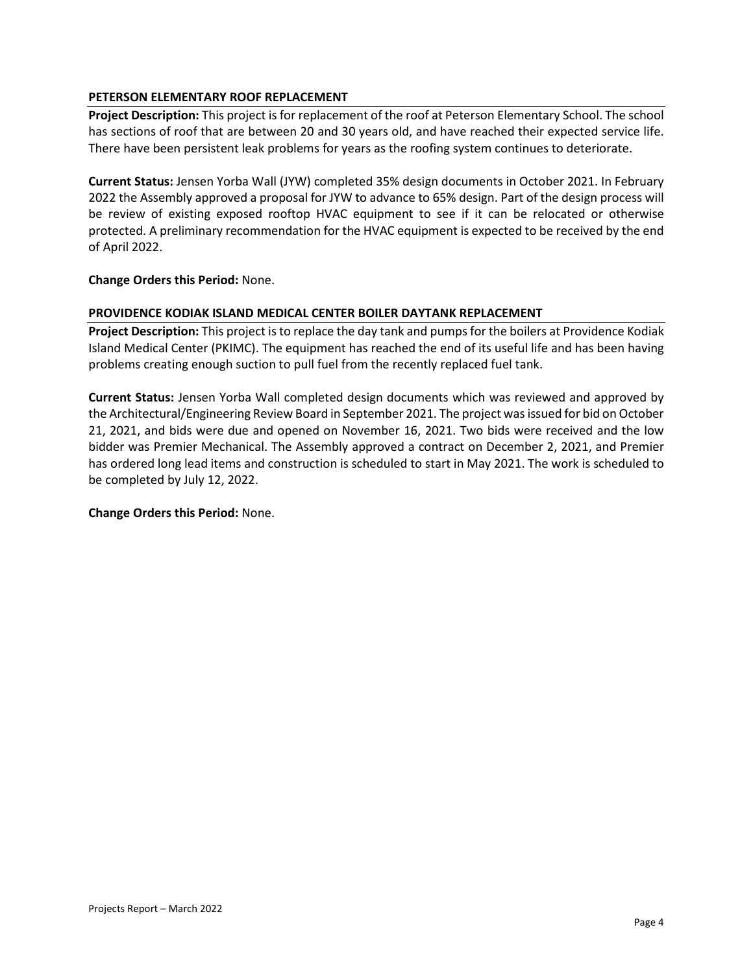# **PETERSON ELEMENTARY ROOF REPLACEMENT**

**Project Description:** This project is for replacement of the roof at Peterson Elementary School. The school has sections of roof that are between 20 and 30 years old, and have reached their expected service life. There have been persistent leak problems for years as the roofing system continues to deteriorate.

**Current Status:** Jensen Yorba Wall (JYW) completed 35% design documents in October 2021. In February 2022 the Assembly approved a proposal for JYW to advance to 65% design. Part of the design process will be review of existing exposed rooftop HVAC equipment to see if it can be relocated or otherwise protected. A preliminary recommendation for the HVAC equipment is expected to be received by the end of April 2022.

#### **Change Orders this Period:** None.

#### **PROVIDENCE KODIAK ISLAND MEDICAL CENTER BOILER DAYTANK REPLACEMENT**

**Project Description:** This project is to replace the day tank and pumps for the boilers at Providence Kodiak Island Medical Center (PKIMC). The equipment has reached the end of its useful life and has been having problems creating enough suction to pull fuel from the recently replaced fuel tank.

**Current Status:** Jensen Yorba Wall completed design documents which was reviewed and approved by the Architectural/Engineering Review Board in September 2021. The project was issued for bid on October 21, 2021, and bids were due and opened on November 16, 2021. Two bids were received and the low bidder was Premier Mechanical. The Assembly approved a contract on December 2, 2021, and Premier has ordered long lead items and construction is scheduled to start in May 2021. The work is scheduled to be completed by July 12, 2022.

#### **Change Orders this Period:** None.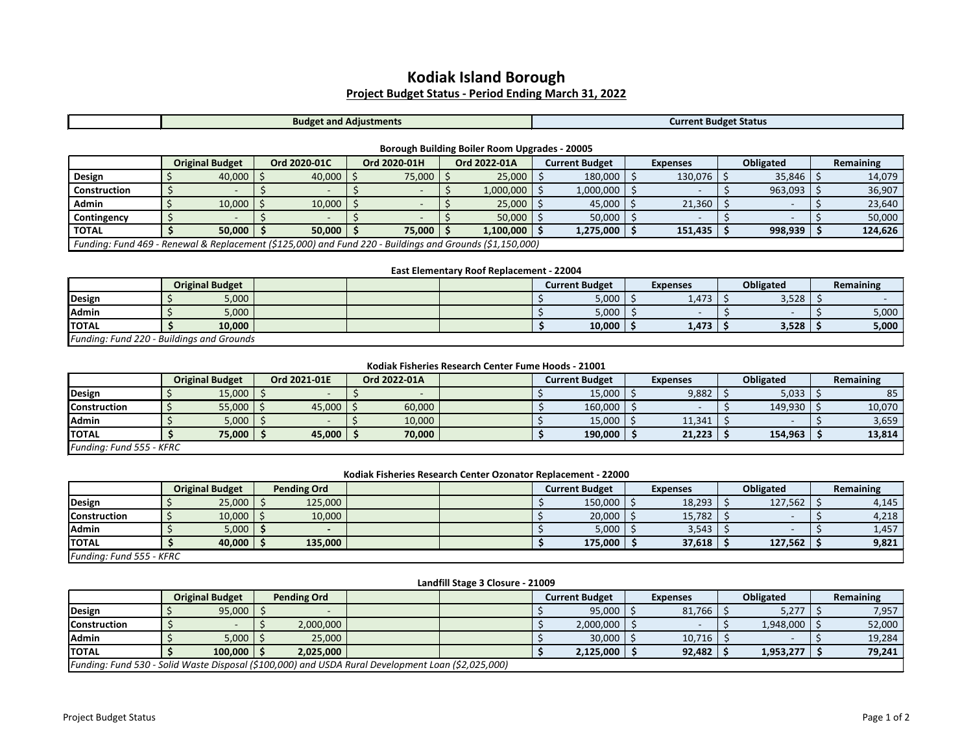# **Kodiak Island Borough Project Budget Status - Period Ending March 31, 2022**

|  |  | <b>Budget</b><br>-дан.<br>ang<br>ustments | <b>Status</b><br><b>TILLED</b> |
|--|--|-------------------------------------------|--------------------------------|
|--|--|-------------------------------------------|--------------------------------|

#### **Borough Building Boiler Room Upgrades - 20005**

|                     |                                                                                                          | <b>Original Budget</b> |  | Ord 2020-01C  |  | Ord 2020-01H |  | Ord 2022-01A |  | <b>Current Budget</b> |  | <b>Expenses</b> |  | <b>Obligated</b> | Remaining |
|---------------------|----------------------------------------------------------------------------------------------------------|------------------------|--|---------------|--|--------------|--|--------------|--|-----------------------|--|-----------------|--|------------------|-----------|
| Design              |                                                                                                          | 40,000 $\frac{3}{2}$   |  | $40,000$   \$ |  | 75,000       |  | 25,000       |  | 180,000               |  | 130,076         |  | 35,846           | 14,079    |
| <b>Construction</b> |                                                                                                          |                        |  |               |  |              |  | 1,000,000    |  | 1,000,000             |  |                 |  | 963,093          | 36,907    |
| <b>Admin</b>        |                                                                                                          | $10,000$   \$          |  | 10,000        |  |              |  | 25,000       |  | 45,000                |  | 21,360          |  |                  | 23,640    |
| Contingency         |                                                                                                          |                        |  |               |  |              |  | 50,000       |  | 50,000                |  |                 |  |                  | 50,000    |
| <b>TOTAL</b>        |                                                                                                          | $50,000$   \$          |  | $50,000$   S  |  | 75,000       |  | 1,100,000    |  | 1,275,000             |  | 151,435         |  | 998,939          | 124,626   |
|                     | Funding: Fund 469 - Renewal & Replacement (\$125,000) and Fund 220 - Buildings and Grounds (\$1,150,000) |                        |  |               |  |              |  |              |  |                       |  |                 |  |                  |           |

# **East Elementary Roof Replacement - 22004**

|                                           |  | <b>Original Budget</b> |  |  |  |  | <b>Current Budget</b> |  | <b>Expenses</b> |  | <b>Obligated</b> | Remaining |
|-------------------------------------------|--|------------------------|--|--|--|--|-----------------------|--|-----------------|--|------------------|-----------|
| Design                                    |  | 5,000                  |  |  |  |  | 5,000                 |  | 1,473           |  | 3,528            |           |
| Admin                                     |  | 5,000                  |  |  |  |  | 5,000                 |  |                 |  |                  | 5,000     |
| <b>TOTAL</b>                              |  | 10,000                 |  |  |  |  | 10,000                |  | 1,473           |  | 3,528            | 5,000     |
| Funding: Fund 220 - Buildings and Grounds |  |                        |  |  |  |  |                       |  |                 |  |                  |           |

#### **Kodiak Fisheries Research Center Fume Hoods - 21001**

|                          |  | <b>Original Budget</b> |  | Ord 2021-01E |  | Ord 2022-01A |  |  | <b>Current Budget</b> |  | <b>Expenses</b> | <b>Obligated</b> | Remaining |
|--------------------------|--|------------------------|--|--------------|--|--------------|--|--|-----------------------|--|-----------------|------------------|-----------|
| Design                   |  | 15,000                 |  |              |  |              |  |  | 15,000                |  | 9,882           | 5,033            | 85        |
| <b>Construction</b>      |  | 55,000                 |  | 45,000       |  | 60,000       |  |  | 160,000               |  |                 | 149,930          | 10,070    |
| Admin                    |  | 5,000                  |  |              |  | 10,000       |  |  | 15,000                |  | 11,341          |                  | 3,659     |
| <b>ITOTAL</b>            |  | 75,000                 |  | 45,000       |  | 70.000       |  |  | 190,000               |  | 21,223          | 154,963          | 13,814    |
| Funding: Fund 555 - KFRC |  |                        |  |              |  |              |  |  |                       |  |                 |                  |           |

#### **Kodiak Fisheries Research Center Ozonator Replacement - 22000**

|                          |  | <b>Original Budget</b> | <b>Pending Ord</b> |         |  |  |  | <b>Current Budget</b> |  | <b>Expenses</b> |  | <b>Obligated</b> | Remaining |
|--------------------------|--|------------------------|--------------------|---------|--|--|--|-----------------------|--|-----------------|--|------------------|-----------|
| Design                   |  | 25,000                 |                    | 125,000 |  |  |  | 150,000               |  | 18,293          |  | 127,562          | 4,145     |
| <b>Construction</b>      |  | 10,000                 |                    | 10,000  |  |  |  | 20,000                |  | 15,782          |  |                  | 4,218     |
| <b>Admin</b>             |  | 5,000                  |                    |         |  |  |  | 5,000                 |  | 3,543           |  |                  | 1,457     |
| <b>ITOTAL</b>            |  | 40,000                 |                    | 135,000 |  |  |  | 175,000               |  | 37,618          |  | 127,562          | 9,821     |
| Funding: Fund 555 - KFRC |  |                        |                    |         |  |  |  |                       |  |                 |  |                  |           |

#### **Landfill Stage 3 Closure - 21009**

|                                                                                                    |  | <b>Original Budget</b> |  | <b>Pending Ord</b> |  |  |  | <b>Current Budget</b> |  | Expenses |  | <b>Obligated</b> | Remaining |
|----------------------------------------------------------------------------------------------------|--|------------------------|--|--------------------|--|--|--|-----------------------|--|----------|--|------------------|-----------|
| Design                                                                                             |  | 95,000                 |  |                    |  |  |  | 95,000                |  | 81,766   |  | 5,277            | 7,957     |
| <b>Construction</b>                                                                                |  |                        |  | 2,000,000          |  |  |  | 2,000,000             |  |          |  | 1,948,000        | 52,000    |
| <b>Admin</b>                                                                                       |  | 5,000                  |  | 25,000             |  |  |  | 30,000                |  | 10,716   |  |                  | 19,284    |
| <b>TOTAL</b>                                                                                       |  | 100.000                |  | 2.025.000          |  |  |  | 2,125,000             |  | 92,482   |  | 1,953,277        | 79,241    |
| Funding: Fund 530 - Solid Waste Disposal (\$100,000) and USDA Rural Development Loan (\$2,025,000) |  |                        |  |                    |  |  |  |                       |  |          |  |                  |           |